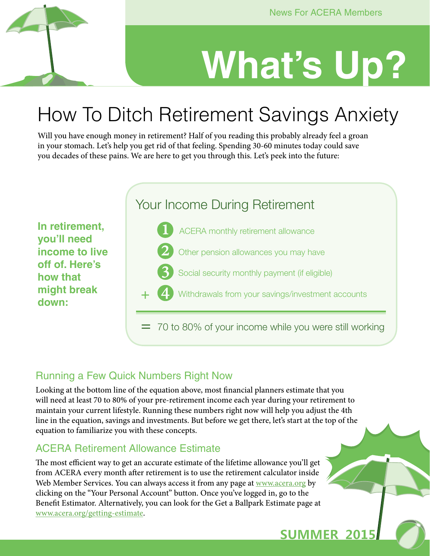**SUMMER 2015** 

# **What's Up?**

# How To Ditch Retirement Savings Anxiety

Will you have enough money in retirement? Half of you reading this probably already feel a groan in your stomach. Let's help you get rid of that feeling. Spending 30-60 minutes today could save you decades of these pains. We are here to get you through this. Let's peek into the future:



### Running a Few Quick Numbers Right Now

Looking at the bottom line of the equation above, most financial planners estimate that you will need at least 70 to 80% of your pre-retirement income each year during your retirement to maintain your current lifestyle. Running these numbers right now will help you adjust the 4th line in the equation, savings and investments. But before we get there, let's start at the top of the equation to familiarize you with these concepts.

### ACERA Retirement Allowance Estimate

The most efficient way to get an accurate estimate of the lifetime allowance you'll get from ACERA every month after retirement is to use the retirement calculator inside Web Member Services. You can always access it from any page at [www.acera.org](http://www.acera.org) by clicking on the "Your Personal Account" button. Once you've logged in, go to the Benefit Estimator. Alternatively, you can look for the Get a Ballpark Estimate page at [www.acera.org/getting-estimate.](http://www.acera.org/getting-estimate)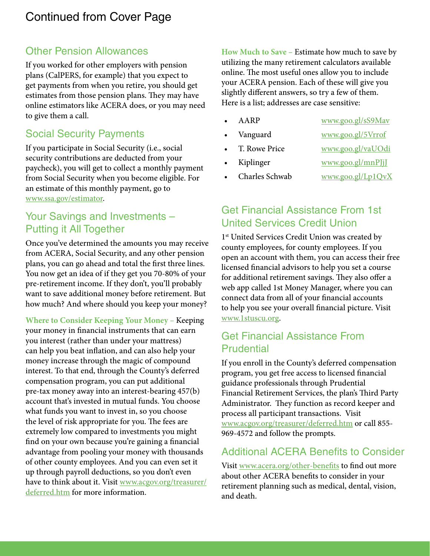### Other Pension Allowances

If you worked for other employers with pension plans (CalPERS, for example) that you expect to get payments from when you retire, you should get estimates from those pension plans. They may have online estimators like ACERA does, or you may need to give them a call.

### Social Security Payments

If you participate in Social Security (i.e., social security contributions are deducted from your paycheck), you will get to collect a monthly payment from Social Security when you become eligible. For an estimate of this monthly payment, go to [www.ssa.gov/estimator](http://www.ssa.gov/estimator).

### Your Savings and Investments – Putting it All Together

Once you've determined the amounts you may receive from ACERA, Social Security, and any other pension plans, you can go ahead and total the first three lines. You now get an idea of if they get you 70-80% of your pre-retirement income. If they don't, you'll probably want to save additional money before retirement. But how much? And where should you keep your money?

**Where to Consider Keeping Your Money –** Keeping your money in financial instruments that can earn you interest (rather than under your mattress) can help you beat inflation, and can also help your money increase through the magic of compound interest. To that end, through the County's deferred compensation program, you can put additional pre-tax money away into an interest-bearing 457(b) account that's invested in mutual funds. You choose what funds you want to invest in, so you choose the level of risk appropriate for you. The fees are extremely low compared to investments you might find on your own because you're gaining a financial advantage from pooling your money with thousands of other county employees. And you can even set it up through payroll deductions, so you don't even have to think about it. Visit [www.acgov.org/treasurer/](http://www.acgov.org/treasurer/deferred.htm) [deferred.htm](http://www.acgov.org/treasurer/deferred.htm) for more information.

**How Much to Save –** Estimate how much to save by utilizing the many retirement calculators available online. The most useful ones allow you to include your ACERA pension. Each of these will give you slightly different answers, so try a few of them. Here is a list; addresses are case sensitive:

- AARP [www.goo.gl/sS9Mav](http://www.goo.gl/sS9Mav)
- Vanguard <www.goo.gl/5Vrrof>
- T. Rowe Price [www.goo.gl/vaUOdi](http://www.goo.gl/vaUOdi)
- 
- Kiplinger [www.goo.gl/mnPJjJ](http://www.goo.gl/mnPJjJ)
- Charles Schwab <www.goo.gl/Lp1QvX>

### Get Financial Assistance From 1st United Services Credit Union

1<sup>st</sup> United Services Credit Union was created by county employees, for county employees. If you open an account with them, you can access their free licensed financial advisors to help you set a course for additional retirement savings. They also offer a web app called 1st Money Manager, where you can connect data from all of your financial accounts to help you see your overall financial picture. Visit [www.1stuscu.org](http://www.1stuscu.org).

### Get Financial Assistance From **Prudential**

If you enroll in the County's deferred compensation program, you get free access to licensed financial guidance professionals through Prudential Financial Retirement Services, the plan's Third Party Administrator. They function as record keeper and process all participant transactions. Visit [www.acgov.org/treasurer/deferred.htm](http://www.acgov.org/treasurer/deferred.htm) or call 855- 969-4572 and follow the prompts.

### Additional ACERA Benefits to Consider

Visit [www.acera.org/other-benefits](http://www.acera.org/other-benefits) to find out more about other ACERA benefits to consider in your retirement planning such as medical, dental, vision, and death.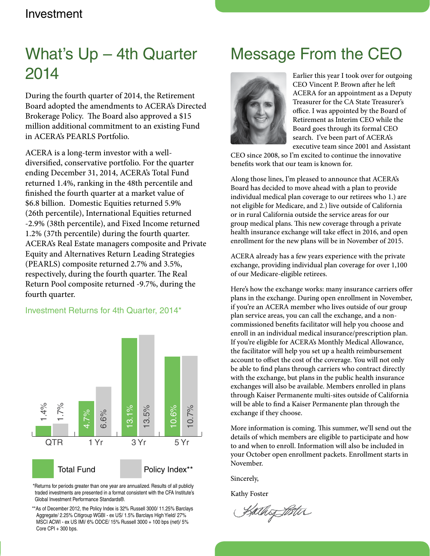### Investment

## What's Up – 4th Quarter 2014

During the fourth quarter of 2014, the Retirement Board adopted the amendments to ACERA's Directed Brokerage Policy. The Board also approved a \$15 million additional commitment to an existing Fund in ACERA's PEARLS Portfolio.

ACERA is a long-term investor with a welldiversified, conservative portfolio. For the quarter ending December 31, 2014, ACERA's Total Fund returned 1.4%, ranking in the 48th percentile and finished the fourth quarter at a market value of \$6.8 billion. Domestic Equities returned 5.9% (26th percentile), International Equities returned -2.9% (38th percentile), and Fixed Income returned 1.2% (37th percentile) during the fourth quarter. ACERA's Real Estate managers composite and Private Equity and Alternatives Return Leading Strategies (PEARLS) composite returned 2.7% and 3.5%, respectively, during the fourth quarter. The Real Return Pool composite returned -9.7%, during the fourth quarter.

### Investment Returns for 4th Quarter, 2014\*



\*Returns for periods greater than one year are annualized. Results of all publicly traded investments are presented in a format consistent with the CFA Institute's Global Investment Performance Standards®.

\*\*As of December 2012, the Policy Index is 32% Russell 3000/ 11.25% Barclays Aggregate/ 2.25% Citigroup WGBI - ex US/ 1.5% Barclays High Yield/ 27% MSCI ACWI - ex US IMI/ 6% ODCE/ 15% Russell 3000 + 100 bps (net)/ 5% Core CPI + 300 bps.

### Message From the CEO



Earlier this year I took over for outgoing CEO Vincent P. Brown after he left ACERA for an appointment as a Deputy Treasurer for the CA State Treasurer's office. I was appointed by the Board of Retirement as Interim CEO while the Board goes through its formal CEO search. I've been part of ACERA's executive team since 2001 and Assistant

CEO since 2008, so I'm excited to continue the innovative benefits work that our team is known for.

Along those lines, I'm pleased to announce that ACERA's Board has decided to move ahead with a plan to provide individual medical plan coverage to our retirees who 1.) are not eligible for Medicare, and 2.) live outside of California or in rural California outside the service areas for our group medical plans. This new coverage through a private health insurance exchange will take effect in 2016, and open enrollment for the new plans will be in November of 2015.

ACERA already has a few years experience with the private exchange, providing individual plan coverage for over 1,100 of our Medicare-eligible retirees.

Here's how the exchange works: many insurance carriers offer plans in the exchange. During open enrollment in November, if you're an ACERA member who lives outside of our group plan service areas, you can call the exchange, and a noncommissioned benefits facilitator will help you choose and enroll in an individual medical insurance/prescription plan. If you're eligible for ACERA's Monthly Medical Allowance, the facilitator will help you set up a health reimbursement account to offset the cost of the coverage. You will not only be able to find plans through carriers who contract directly with the exchange, but plans in the public health insurance exchanges will also be available. Members enrolled in plans through Kaiser Permanente multi-sites outside of California will be able to find a Kaiser Permanente plan through the exchange if they choose.

More information is coming. This summer, we'll send out the details of which members are eligible to participate and how to and when to enroll. Information will also be included in your October open enrollment packets. Enrollment starts in November.

Sincerely,

Kathy Foster

Kathof Bitu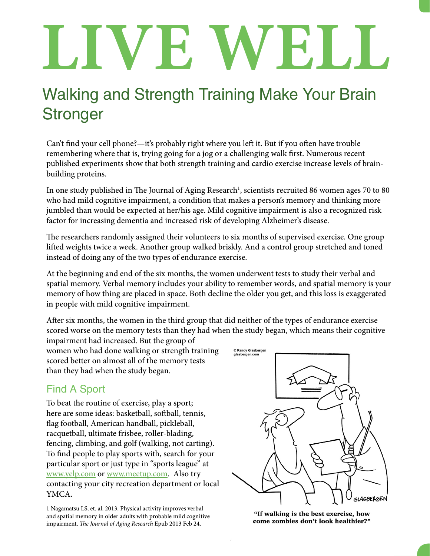# LIVE WELL

# Walking and Strength Training Make Your Brain **Stronger**

Can't find your cell phone?—it's probably right where you left it. But if you often have trouble remembering where that is, trying going for a jog or a challenging walk first. Numerous recent published experiments show that both strength training and cardio exercise increase levels of brainbuilding proteins.

In one study published in The Journal of Aging Research<sup>1</sup>, scientists recruited 86 women ages 70 to 80 who had mild cognitive impairment, a condition that makes a person's memory and thinking more jumbled than would be expected at her/his age. Mild cognitive impairment is also a recognized risk factor for increasing dementia and increased risk of developing Alzheimer's disease.

The researchers randomly assigned their volunteers to six months of supervised exercise. One group lifted weights twice a week. Another group walked briskly. And a control group stretched and toned instead of doing any of the two types of endurance exercise.

At the beginning and end of the six months, the women underwent tests to study their verbal and spatial memory. Verbal memory includes your ability to remember words, and spatial memory is your memory of how thing are placed in space. Both decline the older you get, and this loss is exaggerated in people with mild cognitive impairment.

After six months, the women in the third group that did neither of the types of endurance exercise scored worse on the memory tests than they had when the study began, which means their cognitive

impairment had increased. But the group of women who had done walking or strength training scored better on almost all of the memory tests than they had when the study began.

### Find A Sport

To beat the routine of exercise, play a sport; here are some ideas: basketball, softball, tennis, flag football, American handball, pickleball, racquetball, ultimate frisbee, roller-blading, fencing, climbing, and golf (walking, not carting). To find people to play sports with, search for your particular sport or just type in "sports league" at [www.yelp.com](http://www.yelp.com) or [www.meetup.com.](http://www.meetup.com) Also try contacting your city recreation department or local YMCA.

1 Nagamatsu LS, et. al. 2013. Physical activity improves verbal and spatial memory in older adults with probable mild cognitive impairment. *The Journal of Aging Research* Epub 2013 Feb 24.



"If walking is the best exercise, how come zombies don't look healthier?"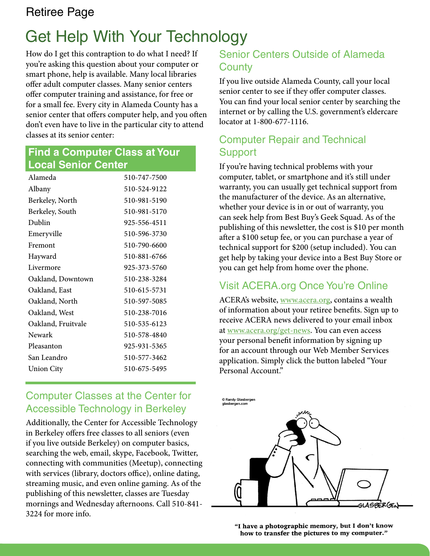### Retiree Page

# Get Help With Your Technology

How do I get this contraption to do what I need? If you're asking this question about your computer or smart phone, help is available. Many local libraries offer adult computer classes. Many senior centers offer computer training and assistance, for free or for a small fee. Every city in Alameda County has a senior center that offers computer help, and you often don't even have to live in the particular city to attend classes at its senior center:

### **Find a Computer Class at Your Local Senior Center**

| Alameda            | 510-747-7500 |
|--------------------|--------------|
| Albany             | 510-524-9122 |
| Berkeley, North    | 510-981-5190 |
| Berkeley, South    | 510-981-5170 |
| Dublin             | 925-556-4511 |
| Emeryville         | 510-596-3730 |
| Fremont            | 510-790-6600 |
| Hayward            | 510-881-6766 |
| Livermore          | 925-373-5760 |
| Oakland, Downtown  | 510-238-3284 |
| Oakland, East      | 510-615-5731 |
| Oakland, North     | 510-597-5085 |
| Oakland, West      | 510-238-7016 |
| Oakland, Fruitvale | 510-535-6123 |
| Newark             | 510-578-4840 |
| Pleasanton         | 925-931-5365 |
| San Leandro        | 510-577-3462 |
| <b>Union City</b>  | 510-675-5495 |
|                    |              |

### Computer Classes at the Center for Accessible Technology in Berkeley

Additionally, the Center for Accessible Technology in Berkeley offers free classes to all seniors (even if you live outside Berkeley) on computer basics, searching the web, email, skype, Facebook, Twitter, connecting with communities (Meetup), connecting with services (library, doctors office), online dating, streaming music, and even online gaming. As of the publishing of this newsletter, classes are Tuesday mornings and Wednesday afternoons. Call 510-841- 3224 for more info.

### Senior Centers Outside of Alameda **County**

If you live outside Alameda County, call your local senior center to see if they offer computer classes. You can find your local senior center by searching the internet or by calling the U.S. government's eldercare locator at 1-800-677-1116.

### Computer Repair and Technical **Support**

If you're having technical problems with your computer, tablet, or smartphone and it's still under warranty, you can usually get technical support from the manufacturer of the device. As an alternative, whether your device is in or out of warranty, you can seek help from Best Buy's Geek Squad. As of the publishing of this newsletter, the cost is \$10 per month after a \$100 setup fee, or you can purchase a year of technical support for \$200 (setup included). You can get help by taking your device into a Best Buy Store or you can get help from home over the phone.

### Visit ACERA.org Once You're Online

ACERA's website, [www.acera.org](http://www.acera.org), contains a wealth of information about your retiree benefits. Sign up to receive ACERA news delivered to your email inbox at [www.acera.org/get-news](http://www.acera.org/get-news). You can even access your personal benefit information by signing up for an account through our Web Member Services application. Simply click the button labeled "Your Personal Account."



"I have a photographic memory, but I don't know how to transfer the pictures to my computer."